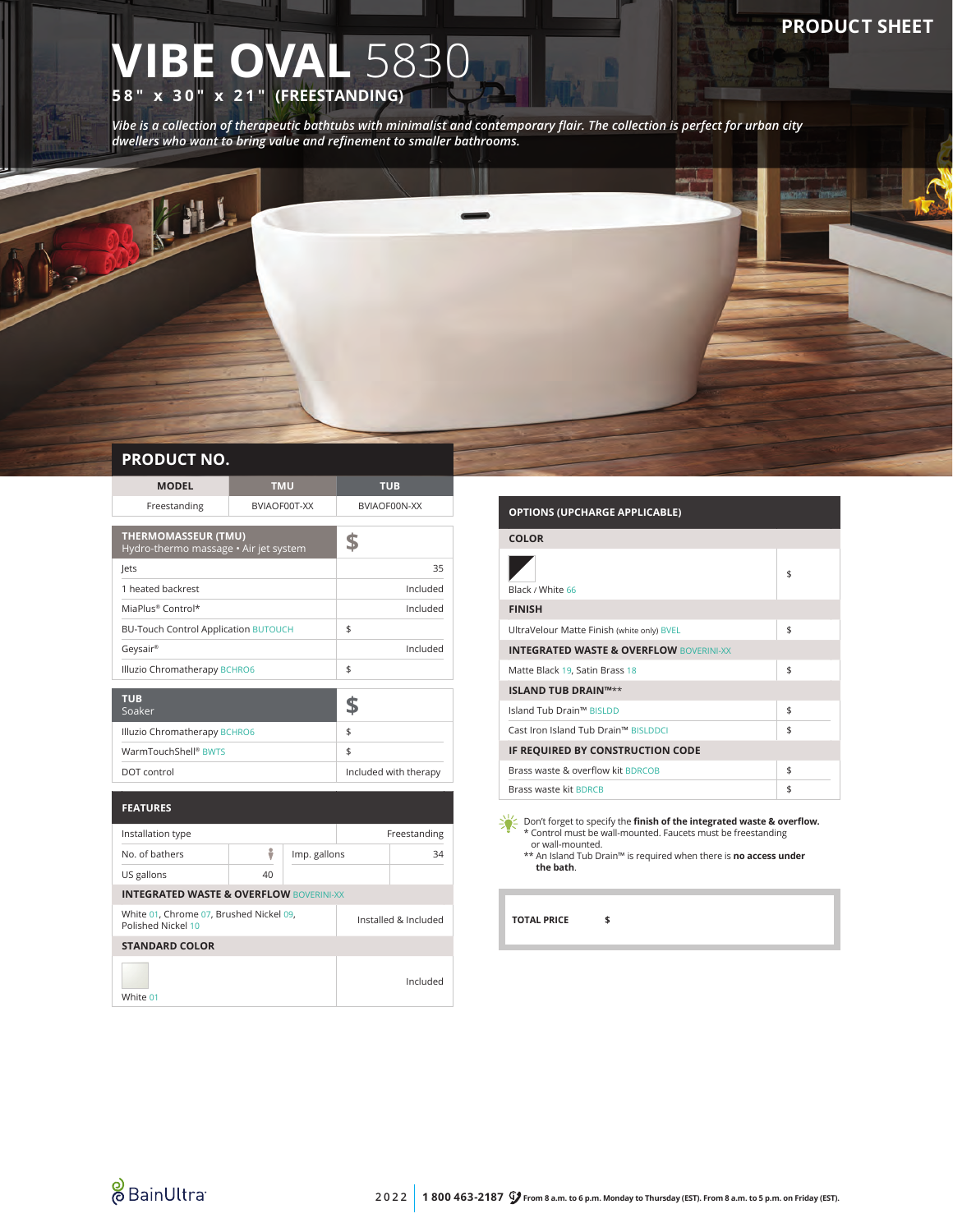# **IBE OVAL 5830 58" x 30" x 21" (FREESTANDING)**

*Vibe is a collection of therapeutic bathtubs with minimalist and contemporary flair. The collection is perfect for urban city dwellers who want to bring value and refinement to smaller bathrooms.*

## **PRODUCT NO.**

砸

| <b>MODEL</b>                                                        | <b>TMU</b>   |                       | <b>TUB</b>   |          |
|---------------------------------------------------------------------|--------------|-----------------------|--------------|----------|
| Freestanding                                                        | BVIAOF00T-XX |                       | BVIAOF00N-XX |          |
| <b>THERMOMASSEUR (TMU)</b><br>Hydro-thermo massage · Air jet system |              | \$                    |              |          |
| lets                                                                |              |                       |              | 35       |
| 1 heated backrest                                                   |              |                       |              | Included |
| MiaPlus® Control*                                                   |              |                       |              | Included |
| <b>BU-Touch Control Application BUTOUCH</b>                         |              |                       | \$           |          |
| Geysair®                                                            |              | Included              |              |          |
| Illuzio Chromatherapy BCHRO6                                        |              | \$                    |              |          |
| <b>TUB</b><br>Soaker                                                |              |                       | \$           |          |
| Illuzio Chromatherapy BCHRO6                                        |              | \$                    |              |          |
| WarmTouchShell® BWTS                                                |              | \$                    |              |          |
| DOT control                                                         |              | Included with therapy |              |          |
| <b>FEATURES</b>                                                     |              |                       |              |          |
| Installation type                                                   |              | Freestanding          |              |          |
| No. of bathers                                                      | ÷            | Imp. gallons          |              | 34       |
| US gallons                                                          | 40           |                       |              |          |
| <b>INTEGRATED WASTE &amp; OVERFLOW BOVERINI-XX</b>                  |              |                       |              |          |
| White 01, Chrome 07, Brushed Nickel 09,<br>Polished Nickel 10       |              | Installed & Included  |              |          |
| <b>STANDARD COLOR</b>                                               |              |                       |              |          |
|                                                                     |              |                       |              | Included |

#### **OPTIONS (UPCHARGE APPLICABLE)**

| <b>COLOR</b>                                       |    |  |  |  |
|----------------------------------------------------|----|--|--|--|
| Black / White 66                                   | \$ |  |  |  |
| <b>FINISH</b>                                      |    |  |  |  |
| UltraVelour Matte Finish (white only) BVEL         | \$ |  |  |  |
| <b>INTEGRATED WASTE &amp; OVERFLOW BOVERINI-XX</b> |    |  |  |  |
| Matte Black 19, Satin Brass 18                     | \$ |  |  |  |
| <b>ISLAND TUB DRAIN™**</b>                         |    |  |  |  |
| Island Tub Drain™ BISLDD                           | \$ |  |  |  |
| Cast Iron Island Tub Drain™ BISLDDCI               | \$ |  |  |  |
| IF REQUIRED BY CONSTRUCTION CODE                   |    |  |  |  |
| Brass waste & overflow kit BDRCOB                  | \$ |  |  |  |
| Brass waste kit BDRCB                              | \$ |  |  |  |

Don't forget to specify the **finish of the integrated waste & overflow.** \* Control must be wall-mounted. Faucets must be freestanding

or wall-mounted. \*\* An Island Tub Drain™ is required when there is **no access under the bath**.

**TOTAL PRICE \$**



White 01